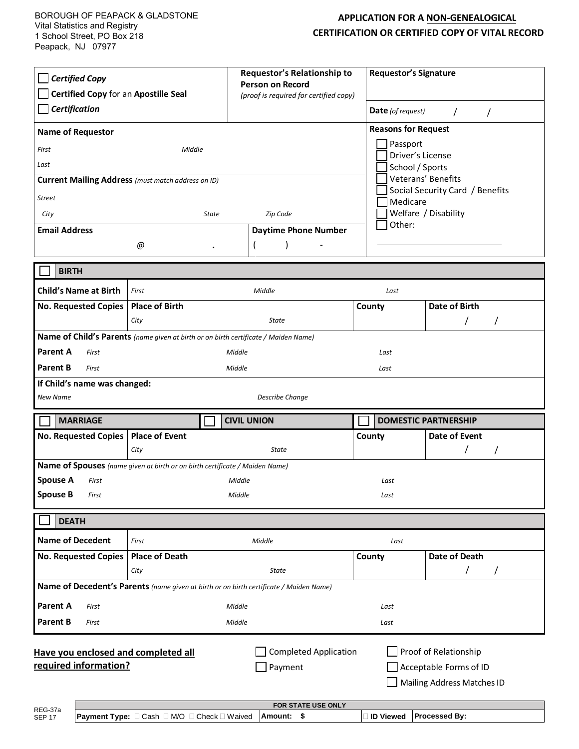## **APPLICATION FOR A NON-GENEALOGICAL CERTIFICATION OR CERTIFIED COPY OF VITAL RECORD**

| <b>Certified Copy</b><br>Certified Copy for an Apostille Seal<br>Certification<br><b>Name of Requestor</b><br>First<br>Middle<br>Last<br><b>Current Mailing Address</b> (must match address on ID)<br>Street<br>City<br>State<br><b>Email Address</b> |                                                                             | Requestor's Relationship to<br><b>Person on Record</b><br>(proof is required for certified copy)<br>Zip Code<br><b>Daytime Phone Number</b> | Other:      | <b>Requestor's Signature</b><br>Date (of request)<br>$\prime$<br>$\prime$<br><b>Reasons for Request</b><br>Passport<br>Driver's License<br>School / Sports<br>Veterans' Benefits<br>Social Security Card / Benefits<br>Medicare<br>Welfare / Disability |  |
|-------------------------------------------------------------------------------------------------------------------------------------------------------------------------------------------------------------------------------------------------------|-----------------------------------------------------------------------------|---------------------------------------------------------------------------------------------------------------------------------------------|-------------|---------------------------------------------------------------------------------------------------------------------------------------------------------------------------------------------------------------------------------------------------------|--|
|                                                                                                                                                                                                                                                       | @                                                                           |                                                                                                                                             |             |                                                                                                                                                                                                                                                         |  |
| <b>BIRTH</b>                                                                                                                                                                                                                                          |                                                                             |                                                                                                                                             |             |                                                                                                                                                                                                                                                         |  |
| <b>Child's Name at Birth</b>                                                                                                                                                                                                                          | Middle<br>First                                                             |                                                                                                                                             | Last        |                                                                                                                                                                                                                                                         |  |
| No. Requested Copies                                                                                                                                                                                                                                  | <b>Place of Birth</b>                                                       |                                                                                                                                             | County      | <b>Date of Birth</b>                                                                                                                                                                                                                                    |  |
|                                                                                                                                                                                                                                                       | City                                                                        | State                                                                                                                                       |             |                                                                                                                                                                                                                                                         |  |
| <b>Parent A</b><br>First<br>Middle<br>Last<br><b>Parent B</b><br>Middle<br>First<br>Last<br>If Child's name was changed:<br><b>Describe Change</b><br>New Name                                                                                        |                                                                             |                                                                                                                                             |             |                                                                                                                                                                                                                                                         |  |
| <b>MARRIAGE</b>                                                                                                                                                                                                                                       |                                                                             | <b>CIVIL UNION</b>                                                                                                                          |             | <b>DOMESTIC PARTNERSHIP</b>                                                                                                                                                                                                                             |  |
| No. Requested Copies   Place of Event                                                                                                                                                                                                                 | City                                                                        | <b>State</b>                                                                                                                                | County      | Date of Event<br>I                                                                                                                                                                                                                                      |  |
|                                                                                                                                                                                                                                                       | Name of Spouses (name given at birth or on birth certificate / Maiden Name) |                                                                                                                                             |             |                                                                                                                                                                                                                                                         |  |
| <b>Spouse A</b><br>First                                                                                                                                                                                                                              | Middle                                                                      |                                                                                                                                             | Last        |                                                                                                                                                                                                                                                         |  |
| <b>Spouse B</b><br>First                                                                                                                                                                                                                              | Middle<br>Last                                                              |                                                                                                                                             |             |                                                                                                                                                                                                                                                         |  |
| <b>DEATH</b>                                                                                                                                                                                                                                          |                                                                             |                                                                                                                                             |             |                                                                                                                                                                                                                                                         |  |
| <b>Name of Decedent</b>                                                                                                                                                                                                                               | First                                                                       | Middle                                                                                                                                      | Last        |                                                                                                                                                                                                                                                         |  |
| <b>No. Requested Copies</b>                                                                                                                                                                                                                           | <b>Place of Death</b><br>City                                               | <b>State</b>                                                                                                                                | County      | <b>Date of Death</b><br>$\prime$<br>T                                                                                                                                                                                                                   |  |
| Name of Decedent's Parents (name given at birth or on birth certificate / Maiden Name)                                                                                                                                                                |                                                                             |                                                                                                                                             |             |                                                                                                                                                                                                                                                         |  |
| Parent A<br>First                                                                                                                                                                                                                                     |                                                                             | Middle                                                                                                                                      | Last        |                                                                                                                                                                                                                                                         |  |
| <b>Parent B</b><br>First                                                                                                                                                                                                                              |                                                                             | Middle                                                                                                                                      | Last        |                                                                                                                                                                                                                                                         |  |
| Proof of Relationship<br><b>Completed Application</b><br>Have you enclosed and completed all<br>required information?<br>Payment<br>Acceptable Forms of ID<br>Mailing Address Matches ID<br>FOR STATE USE ONLY<br>REG-37a                             |                                                                             |                                                                                                                                             |             |                                                                                                                                                                                                                                                         |  |
| <b>SEP 17</b>                                                                                                                                                                                                                                         | Payment Type: □ Cash □ M/O □ Check □ Waived                                 | Amount: \$                                                                                                                                  | ∃ ID Viewed | Processed By:                                                                                                                                                                                                                                           |  |